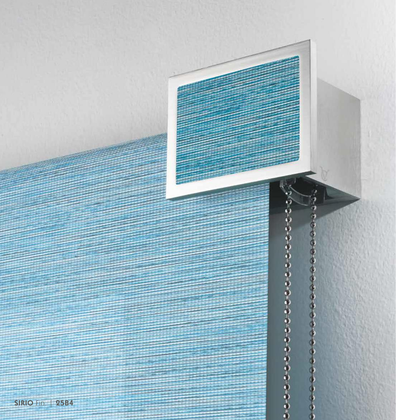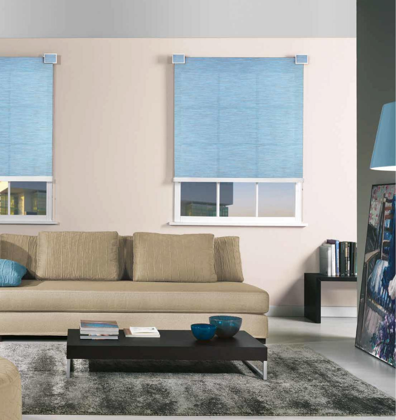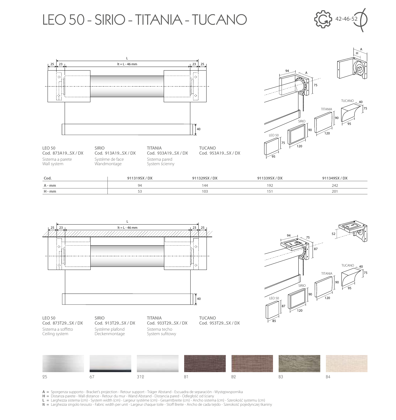LEO 50 - SIRIO - TITANIA - TUCANO







LEO 50 Cod. 873A19...SX / DX Sistema a parete<br>Wall system Wall system Système de face Wandmontage

SIRIO Cod. 913A19...SX / DX TITANIA Cod. 933A19...SX / DX Sistema pared System ścienny

TUCANO Cod. 953A19...SX / DX

| Cod.   | 911319SX / DX | 911329SX / DX | 911339SX / DX | 911349SX / DX |
|--------|---------------|---------------|---------------|---------------|
| A - mm | 27            | 144           | 192           | 242           |
| H - mm |               | 103           | ر ا           | 201           |



LEO 50 Cod. 873T29...SX / DX SIRIO Cod. 913T29...SX / DX TITANIA Cod. 933T29...SX / DX TUCANO Cod. 953T29...SX / DX Sistema a soffitto Ceiling system Système plafond Deckenmontage Sistema techo System sufitowy





**A =** Sporgenza supporto - Bracket's projection - Retour support - Träger Abstand - Escuadra de separación - Występwspornika

**H =** Distanza parete - Wall distance - Retour du mur - Wand Abstand - Distancia pared - Odległość od ściany

**L =** Larghezza sistema (cm) - System width (cm) - Largeur système (cm) - Gesamtbreite (cm) - Ancho sistema (cm) - Szerokość systemu (cm)

It = Larghezza singolo tessuto - Fabric width per unit - Largeur chaque toile - Stoff Breite - Ancho de cada tejido - Szerokość pojedynczej tkaniny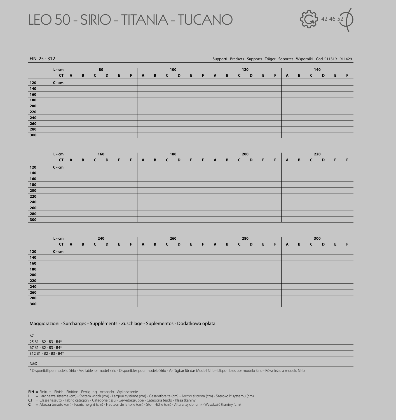### LEO 50 - SIRIO - TITANIA - TUCANO  $\widetilde{G}^{3}$ <sup>42-46-52</sup>



| FIN 25 - 312 |           |              |   |              |   |   |   |              |   |              |     |   |   |              |              |       |   |   |              |   |              | Supporti - Brackets - Supports - Träger - Soportes - Wsporniki Cod. 911319 - 911429 |   |    |
|--------------|-----------|--------------|---|--------------|---|---|---|--------------|---|--------------|-----|---|---|--------------|--------------|-------|---|---|--------------|---|--------------|-------------------------------------------------------------------------------------|---|----|
|              | $L - cm$  |              |   | 80           |   |   |   |              |   |              | 100 |   |   |              |              | 120   |   |   |              |   |              | 140                                                                                 |   |    |
|              | <b>CT</b> | $\mathbf{A}$ | B | $\mathsf{C}$ | D | E | F | $\mathbf{A}$ | B | $\mathsf{C}$ | D   | E | F | $\mathbf{A}$ | $\mathbf{B}$ | $C$ D | E | F | $\mathbf{A}$ | B | $\mathsf{C}$ | D                                                                                   | E | F. |
| 120          | $C - cm$  |              |   |              |   |   |   |              |   |              |     |   |   |              |              |       |   |   |              |   |              |                                                                                     |   |    |
| 140          |           |              |   |              |   |   |   |              |   |              |     |   |   |              |              |       |   |   |              |   |              |                                                                                     |   |    |
| 160          |           |              |   |              |   |   |   |              |   |              |     |   |   |              |              |       |   |   |              |   |              |                                                                                     |   |    |
| 180          |           |              |   |              |   |   |   |              |   |              |     |   |   |              |              |       |   |   |              |   |              |                                                                                     |   |    |
| 200          |           |              |   |              |   |   |   |              |   |              |     |   |   |              |              |       |   |   |              |   |              |                                                                                     |   |    |
| 220          |           |              |   |              |   |   |   |              |   |              |     |   |   |              |              |       |   |   |              |   |              |                                                                                     |   |    |
| 240          |           |              |   |              |   |   |   |              |   |              |     |   |   |              |              |       |   |   |              |   |              |                                                                                     |   |    |
| 260          |           |              |   |              |   |   |   |              |   |              |     |   |   |              |              |       |   |   |              |   |              |                                                                                     |   |    |
| 280          |           |              |   |              |   |   |   |              |   |              |     |   |   |              |              |       |   |   |              |   |              |                                                                                     |   |    |
| 300          |           |              |   |              |   |   |   |              |   |              |     |   |   |              |              |       |   |   |              |   |              |                                                                                     |   |    |

|     | $L - cm$ |              |   |            | 160 |    |    |              |   |              | 180 |   |    |   |   | 200        |   |   |     |              |          | 220        |   |   |   |
|-----|----------|--------------|---|------------|-----|----|----|--------------|---|--------------|-----|---|----|---|---|------------|---|---|-----|--------------|----------|------------|---|---|---|
|     | CT       | $\mathbf{A}$ | B | $\epsilon$ | D   | -E | F. | $\mathbf{A}$ | B | $\mathsf{C}$ | D   | E | F. | A | B | $\epsilon$ | D | E | -F. | $\mathbf{A}$ | <b>B</b> | $\epsilon$ | D | E | F |
| 120 | $C - cm$ |              |   |            |     |    |    |              |   |              |     |   |    |   |   |            |   |   |     |              |          |            |   |   |   |
| 140 |          |              |   |            |     |    |    |              |   |              |     |   |    |   |   |            |   |   |     |              |          |            |   |   |   |
| 160 |          |              |   |            |     |    |    |              |   |              |     |   |    |   |   |            |   |   |     |              |          |            |   |   |   |
| 180 |          |              |   |            |     |    |    |              |   |              |     |   |    |   |   |            |   |   |     |              |          |            |   |   |   |
| 200 |          |              |   |            |     |    |    |              |   |              |     |   |    |   |   |            |   |   |     |              |          |            |   |   |   |
| 220 |          |              |   |            |     |    |    |              |   |              |     |   |    |   |   |            |   |   |     |              |          |            |   |   |   |
| 240 |          |              |   |            |     |    |    |              |   |              |     |   |    |   |   |            |   |   |     |              |          |            |   |   |   |
| 260 |          |              |   |            |     |    |    |              |   |              |     |   |    |   |   |            |   |   |     |              |          |            |   |   |   |
| 280 |          |              |   |            |     |    |    |              |   |              |     |   |    |   |   |            |   |   |     |              |          |            |   |   |   |
| 300 |          |              |   |            |     |    |    |              |   |              |     |   |    |   |   |            |   |   |     |              |          |            |   |   |   |

|     | $L - cm$                             |   |   | 240 |   |   |   |              |   | 260 |   |    |    |   |   | 280          |   |    |    |   |   |            | 300 |   |    |
|-----|--------------------------------------|---|---|-----|---|---|---|--------------|---|-----|---|----|----|---|---|--------------|---|----|----|---|---|------------|-----|---|----|
|     | $\overline{\mathsf{C}}$ $\mathsf{T}$ | A | B |     | D | E | F | $\mathbf{A}$ | B | C   | D | E. | F. | A | B | $\mathbf{C}$ | D | E. | F. | A | B | $\epsilon$ | D   | E | F. |
| 120 | $C$ - cm                             |   |   |     |   |   |   |              |   |     |   |    |    |   |   |              |   |    |    |   |   |            |     |   |    |
| 140 |                                      |   |   |     |   |   |   |              |   |     |   |    |    |   |   |              |   |    |    |   |   |            |     |   |    |
| 160 |                                      |   |   |     |   |   |   |              |   |     |   |    |    |   |   |              |   |    |    |   |   |            |     |   |    |
| 180 |                                      |   |   |     |   |   |   |              |   |     |   |    |    |   |   |              |   |    |    |   |   |            |     |   |    |
| 200 |                                      |   |   |     |   |   |   |              |   |     |   |    |    |   |   |              |   |    |    |   |   |            |     |   |    |
| 220 |                                      |   |   |     |   |   |   |              |   |     |   |    |    |   |   |              |   |    |    |   |   |            |     |   |    |
| 240 |                                      |   |   |     |   |   |   |              |   |     |   |    |    |   |   |              |   |    |    |   |   |            |     |   |    |
| 260 |                                      |   |   |     |   |   |   |              |   |     |   |    |    |   |   |              |   |    |    |   |   |            |     |   |    |
| 280 |                                      |   |   |     |   |   |   |              |   |     |   |    |    |   |   |              |   |    |    |   |   |            |     |   |    |
| 300 |                                      |   |   |     |   |   |   |              |   |     |   |    |    |   |   |              |   |    |    |   |   |            |     |   |    |

#### Maggiorazioni - Surcharges - Suppléments - Zuschläge - Suplementos - Dodatkowa opłata

| 67                                                                              |  |
|---------------------------------------------------------------------------------|--|
|                                                                                 |  |
| $\frac{25 B1 - B2 - B3 - B4*}{67 B1 - B2 - B3 - B4*}$<br>312 B1 - B2 - B3 - B4* |  |
|                                                                                 |  |
|                                                                                 |  |
| N&D                                                                             |  |

\* Disponibili per modello Sirio - Available for model Sirio - Disponibles pour modèle Sirio - Verfügbar für das Modell Sirio - Disponibles por modelo Sirio - Również dla modelu Sirio

**CT =** Classe tessuto - Fabric category - Catégorie tissu - Gewebegruppe - Categoría tejido - Klasa tkaniny

**FIN =** Finitura - Finish - Finition - Fertigung - Acabado - Wykończenie

**L =** Larghezza sistema (cm) - System width (cm) - Largeur système (cm) - Gesamtbreite (cm) - Ancho sistema (cm) - Szerokość systemu (cm)

 $C$  = Altezza tessuto (cm) - Fabric height (cm) - Hauteur de la toile (cm) - Stoff Höhe (cm) - Altura tejido (cm) - Wysokość tkaniny (cm)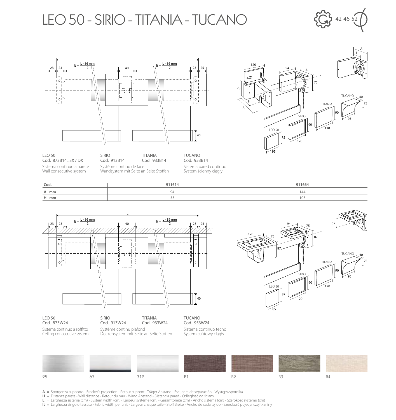### LEO 50 - SIRIO - TITANIA - TUCANO







SIRIO Cod. 913B14 TITANIA Cod. 933B14 Système continu de face Wandsystem mit Seite an Seite Stoffen

TUCANO Cod. 953B14 Sistema pared continuo System ścienny ciągły



| Cod.   | 911614 | 911664 |
|--------|--------|--------|
| A - mm |        | 144    |
| H - mm |        | 103    |



LEO 50 Cod. 873W24 Sistema continuo a soffitto Ceiling consecutive system SIRIO Cod. 913W24 TITANIA Cod. 933W24 Système continu plafond Deckensystem mit Seite an Seite Stoffen

TUCANO Cod. 953W24 Sistema continuo techo System sufitowy ciągły





**A =** Sporgenza supporto - Bracket's projection - Retour support - Träger Abstand - Escuadra de separación - Występwspornika

**H =** Distanza parete - Wall distance - Retour du mur - Wand Abstand - Distancia pared - Odległość od ściany

**L =** Larghezza sistema (cm) - System width (cm) - Largeur système (cm) - Gesamtbreite (cm) - Ancho sistema (cm) - Szerokość systemu (cm)

It = Larghezza singolo tessuto - Fabric width per unit - Largeur chaque toile - Stoff Breite - Ancho de cada tejido - Szerokość pojedynczej tkaniny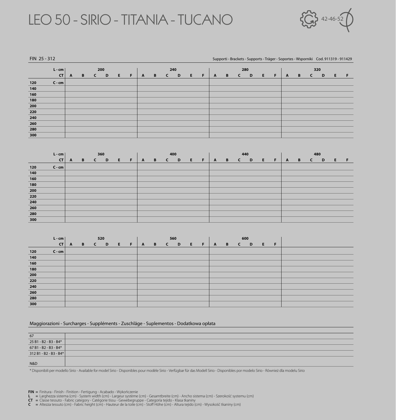### LEO 50 - SIRIO - TITANIA - TUCANO  $\widetilde{G}$  42-46-52



| FIN 25 - 312 |           |   |   |     |   |   |    |              |   |              |     |   |    |              |              |              |   |   |     | Supporti - Brackets - Supports - Träger - Soportes - Wsporniki Cod. 911319 - 911429 |   |     |   |   |    |
|--------------|-----------|---|---|-----|---|---|----|--------------|---|--------------|-----|---|----|--------------|--------------|--------------|---|---|-----|-------------------------------------------------------------------------------------|---|-----|---|---|----|
|              | $L - cm$  |   |   | 200 |   |   |    |              |   |              | 240 |   |    |              |              | 280          |   |   |     |                                                                                     |   | 320 |   |   |    |
|              | <b>CT</b> | A | B |     | D | E | F. | $\mathbf{A}$ | B | $\mathsf{C}$ | D   | E | F. | $\mathbf{A}$ | $\mathbf{B}$ | $\mathsf{C}$ | D | E | - F | $\mathbf{A}$                                                                        | B |     | D | E | F. |
| 120          | $C - cm$  |   |   |     |   |   |    |              |   |              |     |   |    |              |              |              |   |   |     |                                                                                     |   |     |   |   |    |
| 140          |           |   |   |     |   |   |    |              |   |              |     |   |    |              |              |              |   |   |     |                                                                                     |   |     |   |   |    |
| 160          |           |   |   |     |   |   |    |              |   |              |     |   |    |              |              |              |   |   |     |                                                                                     |   |     |   |   |    |
| 180          |           |   |   |     |   |   |    |              |   |              |     |   |    |              |              |              |   |   |     |                                                                                     |   |     |   |   |    |
| 200          |           |   |   |     |   |   |    |              |   |              |     |   |    |              |              |              |   |   |     |                                                                                     |   |     |   |   |    |
| 220          |           |   |   |     |   |   |    |              |   |              |     |   |    |              |              |              |   |   |     |                                                                                     |   |     |   |   |    |
| 240          |           |   |   |     |   |   |    |              |   |              |     |   |    |              |              |              |   |   |     |                                                                                     |   |     |   |   |    |
| 260          |           |   |   |     |   |   |    |              |   |              |     |   |    |              |              |              |   |   |     |                                                                                     |   |     |   |   |    |
| 280          |           |   |   |     |   |   |    |              |   |              |     |   |    |              |              |              |   |   |     |                                                                                     |   |     |   |   |    |
| 300          |           |   |   |     |   |   |    |              |   |              |     |   |    |              |              |              |   |   |     |                                                                                     |   |     |   |   |    |

|     | $L - cm$ |              |   | 360        |   |          |    |              |   | 400          |   |   |    |              |          | 440        |              |   |     |   |          |            | 480 |    |    |
|-----|----------|--------------|---|------------|---|----------|----|--------------|---|--------------|---|---|----|--------------|----------|------------|--------------|---|-----|---|----------|------------|-----|----|----|
|     | CT       | $\mathbf{A}$ | B | $\epsilon$ | D | <b>E</b> | F. | $\mathbf{A}$ | B | $\mathsf{C}$ | D | E | F. | $\mathbf{A}$ | <b>B</b> | $\epsilon$ | $\mathbf{D}$ | E | -F. | A | <b>B</b> | $\epsilon$ | D   | E. | F. |
| 120 | $C - cm$ |              |   |            |   |          |    |              |   |              |   |   |    |              |          |            |              |   |     |   |          |            |     |    |    |
| 140 |          |              |   |            |   |          |    |              |   |              |   |   |    |              |          |            |              |   |     |   |          |            |     |    |    |
| 160 |          |              |   |            |   |          |    |              |   |              |   |   |    |              |          |            |              |   |     |   |          |            |     |    |    |
| 180 |          |              |   |            |   |          |    |              |   |              |   |   |    |              |          |            |              |   |     |   |          |            |     |    |    |
| 200 |          |              |   |            |   |          |    |              |   |              |   |   |    |              |          |            |              |   |     |   |          |            |     |    |    |
| 220 |          |              |   |            |   |          |    |              |   |              |   |   |    |              |          |            |              |   |     |   |          |            |     |    |    |
| 240 |          |              |   |            |   |          |    |              |   |              |   |   |    |              |          |            |              |   |     |   |          |            |     |    |    |
| 260 |          |              |   |            |   |          |    |              |   |              |   |   |    |              |          |            |              |   |     |   |          |            |     |    |    |
| 280 |          |              |   |            |   |          |    |              |   |              |   |   |    |              |          |            |              |   |     |   |          |            |     |    |    |
| 300 |          |              |   |            |   |          |    |              |   |              |   |   |    |              |          |            |              |   |     |   |          |            |     |    |    |

|     | $L - cm$ |              |              | 520 |   |    |    |              |   | 560        |   |   |    |   |   | 600        |   |    |     |  |
|-----|----------|--------------|--------------|-----|---|----|----|--------------|---|------------|---|---|----|---|---|------------|---|----|-----|--|
|     | CT       | $\mathbf{A}$ | $\mathbf{B}$ | c   | D | E. | F. | $\mathbf{A}$ | B | $\epsilon$ | D | E | F. | A | B | $\epsilon$ | D | E. | - F |  |
| 120 | $C$ - cm |              |              |     |   |    |    |              |   |            |   |   |    |   |   |            |   |    |     |  |
| 140 |          |              |              |     |   |    |    |              |   |            |   |   |    |   |   |            |   |    |     |  |
| 160 |          |              |              |     |   |    |    |              |   |            |   |   |    |   |   |            |   |    |     |  |
| 180 |          |              |              |     |   |    |    |              |   |            |   |   |    |   |   |            |   |    |     |  |
| 200 |          |              |              |     |   |    |    |              |   |            |   |   |    |   |   |            |   |    |     |  |
| 220 |          |              |              |     |   |    |    |              |   |            |   |   |    |   |   |            |   |    |     |  |
| 240 |          |              |              |     |   |    |    |              |   |            |   |   |    |   |   |            |   |    |     |  |
| 260 |          |              |              |     |   |    |    |              |   |            |   |   |    |   |   |            |   |    |     |  |
| 280 |          |              |              |     |   |    |    |              |   |            |   |   |    |   |   |            |   |    |     |  |
| 300 |          |              |              |     |   |    |    |              |   |            |   |   |    |   |   |            |   |    |     |  |

#### Maggiorazioni - Surcharges - Suppléments - Zuschläge - Suplementos - Dodatkowa opłata

| 67                                                                                                                                       |  |
|------------------------------------------------------------------------------------------------------------------------------------------|--|
|                                                                                                                                          |  |
| $\begin{array}{ l } \hline 25 B1 - B2 - B3 - B4* \\ \hline 67 B1 - B2 - B3 - B4* \\ \hline 312 B1 - B2 - B3 - B4* \\ \hline \end{array}$ |  |
|                                                                                                                                          |  |
|                                                                                                                                          |  |
| N&D                                                                                                                                      |  |

\* Disponibili per modello Sirio - Available for model Sirio - Disponibles pour modèle Sirio - Verfügbar für das Modell Sirio - Disponibles por modelo Sirio - Również dla modelu Sirio

**CT =** Classe tessuto - Fabric category - Catégorie tissu - Gewebegruppe - Categoría tejido - Klasa tkaniny

**FIN =** Finitura - Finish - Finition - Fertigung - Acabado - Wykończenie

**L =** Larghezza sistema (cm) - System width (cm) - Largeur système (cm) - Gesamtbreite (cm) - Ancho sistema (cm) - Szerokość systemu (cm)

**C =** Altezza tessuto (cm) - Fabric height (cm) - Hauteur de la toile (cm) - Sto Höhe (cm) - Altura tejido (cm) - Wysokość tkaniny (cm)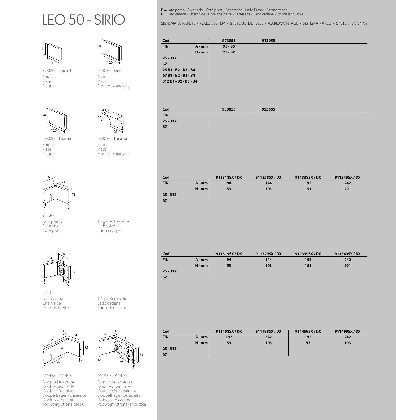

Borchia Plate Plaque



Borchia Plate Plaque



9113-- Lato perno Pivot side Côté pivot



873055 Leo 50 913055 Sirio Platte Placa Front dekoracyjny



Front dekoracyjny







9113-- Lato catena Chain side Côté chainette

A

15

98

Doppio lato perno Double pivot side Double côté pivot Doppelträger Pchseseite Doble lado pivote Podwójny strona czopu

H





911458 911498 911459 911499 Doppio lato catena Double chain side Double côté chainette Doppelträger Cetteseite Doble lado cadena Podwójny strona łańcuszka

75

**67**

**P =** Lato perno - Pivot side - Côté pivot - Achseseite - Lado Pivote - Strona czopa **C =** Lato catena - Chain side - Côté chainette - Ketteseite - Lado cadena - Strona lańcuszka

SISTEMA A PARETE - WALL SYSTEM - SYSTÈME DE FACE - WANDMONTAGE - SISTEMA PARED - SYSTEM ŚCIENNY

| Cod.                  |          | 873055    | 913055 |
|-----------------------|----------|-----------|--------|
| <b>FIN</b>            | $A - mm$ | $95 - 85$ |        |
|                       | $H - mm$ | $75 - 87$ |        |
| $25 - 312$            |          |           |        |
| 67                    |          |           |        |
| 25 B1 - B2 - B3 - B4  |          |           |        |
| 67 B1 - B2 - B3 - B4  |          |           |        |
| 312 B1 - B2 - B3 - B4 |          |           |        |

| Cod.       | 933055 | 953055 |
|------------|--------|--------|
| <b>FIN</b> |        |        |
| $25 - 312$ |        |        |
| 67         |        |        |

| Cod.       |          | 911318SX/DX | 911328SX/DX | 911338SX/DX | 911348SX/DX |
|------------|----------|-------------|-------------|-------------|-------------|
| <b>FIN</b> | $A - mm$ | 94          | 144         | 192         | 242         |
|            | $H - mm$ | 53          | 103         | 151         | 201         |
| $25 - 312$ |          |             |             |             |             |
| 67         |          |             |             |             |             |

| Cod.       |          | 911319SX/DX | 911329SX/DX | 911339SX/DX | 911349SX/DX |
|------------|----------|-------------|-------------|-------------|-------------|
| <b>FIN</b> | A - mm   | 94          | 144         | 192         | 242         |
|            | $H - mm$ | 53          | 103         | 151         | 201         |
| $25 - 312$ |          |             |             |             |             |
| 67         |          |             |             |             |             |

| Cod.       |          | 911458SX/DX | 911498SX/DX | 911459SX/DX | 911499SX/DX |
|------------|----------|-------------|-------------|-------------|-------------|
| <b>FIN</b> | A - mm   | 192         | 242         | 192         | 242         |
|            | $H - mm$ | 53          | 103         | 53          | 103         |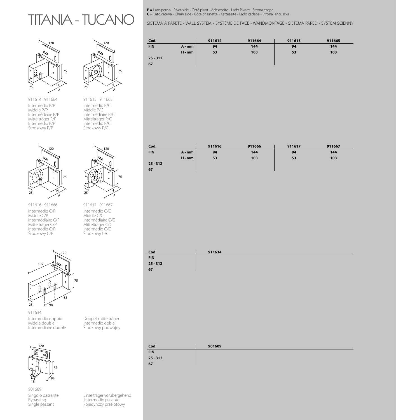# TITANIA- TUCANO



911614 911664 911615 911665 Intermedio P/P Middle P/P Intermèdiaire P/P Mittelträger P/P Intermedio P/P Środkowy P/P



Intermedio P/C Middle P/C Intermèdiaire P/C Mittelträger P/C Intermedio P/C Środkowy P/C



SISTEMA A PARETE - WALL SYSTEM - SYSTÈME DE FACE - WANDMONTAGE - SISTEMA PARED - SYSTEM ŚCIENNY

| Cod.       |          | 911614 | 911664 | 911615 | 911665 |
|------------|----------|--------|--------|--------|--------|
| <b>FIN</b> | $A - mm$ | 94     | 144    | 94     | 144    |
|            | $H - mm$ | 53     | 103    | 53     | 103    |
| $25 - 312$ |          |        |        |        |        |
| 67         |          |        |        |        |        |



911616 911666 911617 911667 Intermedio C/P Middle C/P Intermèdiaire C/P Mittelträger C/P Intermedio C/P Środkowy C/P



Intermedio C/C Middle C/C Intermèdiaire C/C Mittelträger C/C Intermedio C/C Środkowy C/C



911634 Intermedio doppio Middle double Intèrmediaire double

Doppel-mittelträger Intermedio doble Środkowy podwójny



901609 Singolo passante Bypassing Single passant

Einzelträger vorübergehend IIntermedio pasante Pojedynczy przelotowy

| Cod.       |          | 911616 | 911666 | 911617 | 911667 |
|------------|----------|--------|--------|--------|--------|
| <b>FIN</b> | $A - mm$ | 94     | 144    | 94     | 144    |
|            | $H - mm$ | 53     | 103    | 53     | 103    |
| $25 - 312$ |          |        |        |        |        |
| 67         |          |        |        |        |        |

| Cod.       | 911634 |
|------------|--------|
| <b>FIN</b> |        |
| $25 - 312$ |        |
| 67         |        |
|            |        |

| Cod.       | 901609 |
|------------|--------|
| <b>FIN</b> |        |
| 25 - 312   |        |
| 67         |        |
|            |        |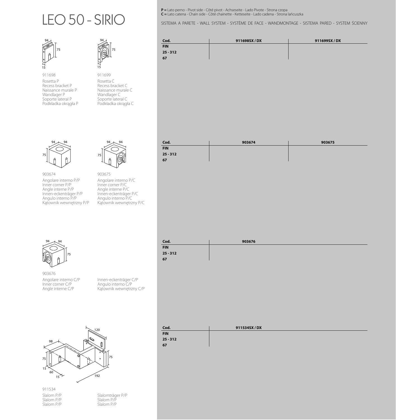

911698 911699 Rosetta P Recess bracket P Naissance murale P Wandlager P Soporte lateral P Podkładka okrągła P



Rosetta C Recess bracket C Naissance murale C Wandlager C Soporte lateral C Podkładka okrągła C



903674 903675 Angolare interno P/P Inner corner P/P Angle interne P/P Innen-eckenträger P/P Angulo interno P/P Kątownik wewnętrzny P/P



Angolare interno P/C Inner corner P/C Angle interne P/C Innen-eckenträger P/C Angulo interno P/C Kątownik wewnętrzny P/C **P =** Lato perno - Pivot side - Côté pivot - Achseseite - Lado Pivote - Strona czopa **C =** Lato catena - Chain side - Côté chainette - Ketteseite - Lado cadena - Strona lańcuszka

SISTEMA A PARETE - WALL SYSTEM - SYSTÈME DE FACE - WANDMONTAGE - SISTEMA PARED - SYSTEM ŚCIENNY

| Cod.       | 911698SX / DX | 911699SX/DX |
|------------|---------------|-------------|
| <b>FIN</b> |               |             |
| $25 - 312$ |               |             |
| 67         |               |             |
|            |               |             |

| Cod.       | 903674 | 903675 |
|------------|--------|--------|
| <b>FIN</b> |        |        |
| $25 - 312$ |        |        |
| 67         |        |        |



903676 Angolare interno C/P Inner corner C/P Angle interne C/P

Innen-eckenträger C/P Angulo interno C/P Kątownik wewnętrzny C/P



911534 Slalom P/P Slalom P/P Slalom P/P

Slalomträger P/P Slalom P/P Slalom P/P

| <b>FIN</b><br>$25 - 312$ |  |
|--------------------------|--|
|                          |  |
|                          |  |
| 67                       |  |

| Cod.       | 911534SX / DX |
|------------|---------------|
| <b>FIN</b> |               |
| $25 - 312$ |               |
| 67         |               |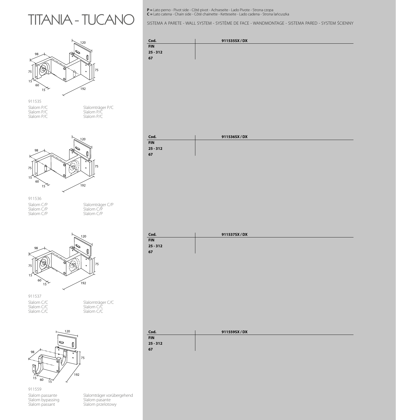



911536 Slalom C/P Slalom C/P Slalom C/P

Slalomträger C/P Slalom C/P Slalom C/P



911537 Slalom C/C Slalom C/C Slalom C/C

Slalomträger C/C Slalom C/C Slalom C/C



911559 Slalom passante Slalom bypassing Slalom passant

Slalomträger vorübergehend Slalom pasante<br>Slalom przelotowy

**P =** Lato perno - Pivot side - Côté pivot - Achseseite - Lado Pivote - Strona czopa **C =** Lato catena - Chain side - Côté chainette - Ketteseite - Lado cadena - Strona lańcuszka

SISTEMA A PARETE - WALL SYSTEM - SYSTÈME DE FACE - WANDMONTAGE - SISTEMA PARED - SYSTEM ŚCIENNY

|       | Cod.                     | 911535SX/DX   |  |
|-------|--------------------------|---------------|--|
|       | <b>FIN</b><br>$25 - 312$ |               |  |
|       | 67                       |               |  |
|       |                          |               |  |
|       |                          |               |  |
|       |                          |               |  |
|       |                          |               |  |
| r P/C |                          |               |  |
|       |                          |               |  |
|       |                          |               |  |
|       | Cod.                     | 911536SX / DX |  |
|       | <b>FIN</b><br>$25 - 312$ |               |  |
|       | 67                       |               |  |
|       |                          |               |  |
|       |                          |               |  |
|       |                          |               |  |
|       |                          |               |  |
| r C/P |                          |               |  |
|       |                          |               |  |
|       |                          |               |  |
|       | Cod.<br><b>FIN</b>       | 911537SX / DX |  |
|       | $25 - 312$<br>$\bf 67$   |               |  |
|       |                          |               |  |
|       |                          |               |  |
|       |                          |               |  |
|       |                          |               |  |
|       |                          |               |  |
| rC/C  |                          |               |  |
|       |                          |               |  |
|       |                          |               |  |
|       | Cod.<br>FIN              | 911559SX / DX |  |
|       | $25 - 312$<br>67         |               |  |
|       |                          |               |  |
|       |                          |               |  |
|       |                          |               |  |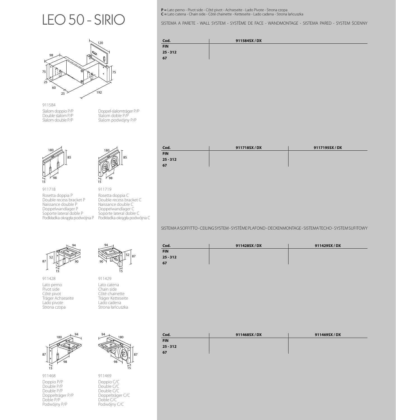

911584 Slalom doppio P/P Double slalom P/P Slalom double P/P

Doppel-slalomträger P/P Slalom doble P/P Slalom podwójny P/P





911718 911719 Rosetta doppia P Double recess bracket P Naissance double P Doppelwandlager P Soporte lateral doble P Podkładka okrągła podwójna P



Double recess bracket C Naissance double C Doppelwandlager C Soporte lateral doble C Podkładka okrągła podwójna C



SISTEMA A PARETE - WALL SYSTEM - SYSTÈME DE FACE - WANDMONTAGE - SISTEMA PARED - SYSTEM ŚCIENNY

**P =** Lato perno - Pivot side - Côté pivot - Achseseite - Lado Pivote - Strona czopa **C =** Lato catena - Chain side - Côté chainette - Ketteseite - Lado cadena - Strona lańcuszka

**Cod. 911584SX / DX**

**FIN 25 - 312**

| Cod.       | 911718SX / DX | 9117195SX/DX |
|------------|---------------|--------------|
| <b>FIN</b> |               |              |
| $25 - 312$ |               |              |
| 67         |               |              |

SISTEMAASOFFITTO-CEILINGSYSTEM-SYSTÈMEPLAFOND-DECKENMONTAGE-SISTEMATECHO-SYSTEMSUFITOWY

| Cod.       | 911428SX / DX | 911429SX/DX |
|------------|---------------|-------------|
| <b>FIN</b> |               |             |
| $25 - 312$ |               |             |
| 67         |               |             |



911428 911429 Lato perno Pivot side Côté pivot Träger Achseseite Lado pivote Strona czopa



Lato catena Chain side Côté chainette Träger Ketteseite Lado cadena Strona łańcuszka



911468 911469 Doppio P/P Double P/P Double P/P Doppelträger P/P Doble P/P Podwójny P/P



Doppio C/C Double C/C Double C/C Doppelträger C/C Doble C/C Podwójny C/C

| Cod.       | 911468SX / DX | 911469SX/DX |
|------------|---------------|-------------|
| <b>FIN</b> |               |             |
| $25 - 312$ |               |             |
| 67         |               |             |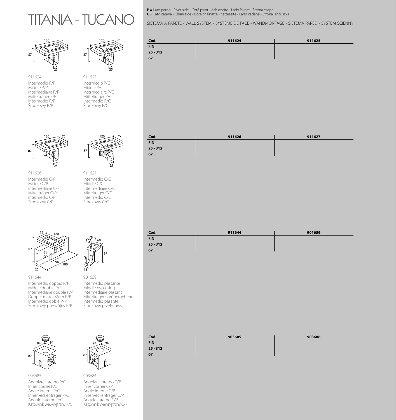# TITANIA- TUCANO



911624 911625 Intermedio P/P Middle P/P Intermèdiaire P/P Mittelträger P/P Intermedio P/P Środkowy P/P



Intermedio P/C Middle P/C Intermèdiaire P/C Mittelträger P/C Intermedio P/C Środkowy P/C



911626 911627 Intermedio C/P Middle C/P Intermèdiaire C/P Mittelträger C/P Intermedio C/P Środkowy C/P



Intermedio C/C Middle C/C Intermèdiaire C/C Mittelträger C/C Intermedio C/C Środkowy C/C



**Cod. 911644 901659**



Intermedio doppio P/P Middle double P/P Intèrmediaire double P/P Doppel-mittelträger P/P Intermedio doble P/P Środkowy podwójny P/P



Middle bypassing Intermèdiaire passant Mittelträger vorübergehend Intermedio pasante Środkowy przelotowy



903685 903686

Angolare interno P/C Inner corner P/C Angle interne P/C Innen-eckenträger P/C Angulo interno P/C Kątownik wewnętrzny P/C



 $94 + 94$ 

Angolare interno C/P Inner corner C/P Angle interne C/P Innen-eckenträger C/P Angulo interno C/P Kątownik wewnętrzny C/P

87

Intermedio passante

**FIN 25 - 312 67**

| Cod.       | 903685 | 903686 |
|------------|--------|--------|
| <b>FIN</b> |        |        |
| $25 - 312$ |        |        |
| 67         |        |        |

**P =** Lato perno - Pivot side - Côté pivot - Achseseite - Lado Pivote - Strona czopa **C =** Lato catena - Chain side - Côté chainette - Ketteseite - Lado cadena - Strona lańcuszka

SISTEMA A PARETE - WALL SYSTEM - SYSTÈME DE FACE - WANDMONTAGE - SISTEMA PARED - SYSTEM ŚCIENNY

| 911624 | 911625 |
|--------|--------|
|        |        |
|        |        |
|        |        |
|        |        |
|        |        |
|        |        |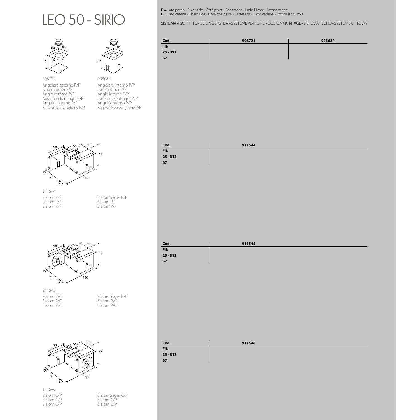



903724 903684 Angolare esterno P/P Outer corner P/P Angle extèrne P/P Aussen-eckenträger P/P Ángulo externo P/P Kątownik zewnętrzny P/P

15

60

911544 Slalom P/P Slalom P/P Slalom P/P

 $15$ 

98



87

Slalomträger P/P Slalom P/P Slalom P/P

180

90



SISTEMAASOFFITTO-CEILINGSYSTEM-SYSTÈMEPLAFOND-DECKENMONTAGE-SISTEMATECHO-SYSTEMSUFITOWY

| Cod.       | 903724 | 903684 |
|------------|--------|--------|
| <b>FIN</b> |        |        |
| $25 - 312$ |        |        |
| 67         |        |        |
|            |        |        |

| Cod.       | 911544 |
|------------|--------|
| <b>FIN</b> |        |
| $25 - 312$ |        |
| 67         |        |



911545 Slalom P/C Slalom P/C Slalom P/C





911546 Slalom C/P Slalom C/P Slalom C/P

Slalomträger C/P Slalom C/P Slalom C/P

| Cod.       | 911545 |  |
|------------|--------|--|
| <b>FIN</b> |        |  |
| $25 - 312$ |        |  |
| 67         |        |  |

| Cod.       | 911546 |
|------------|--------|
| <b>FIN</b> |        |
| $25 - 312$ |        |
| 67         |        |